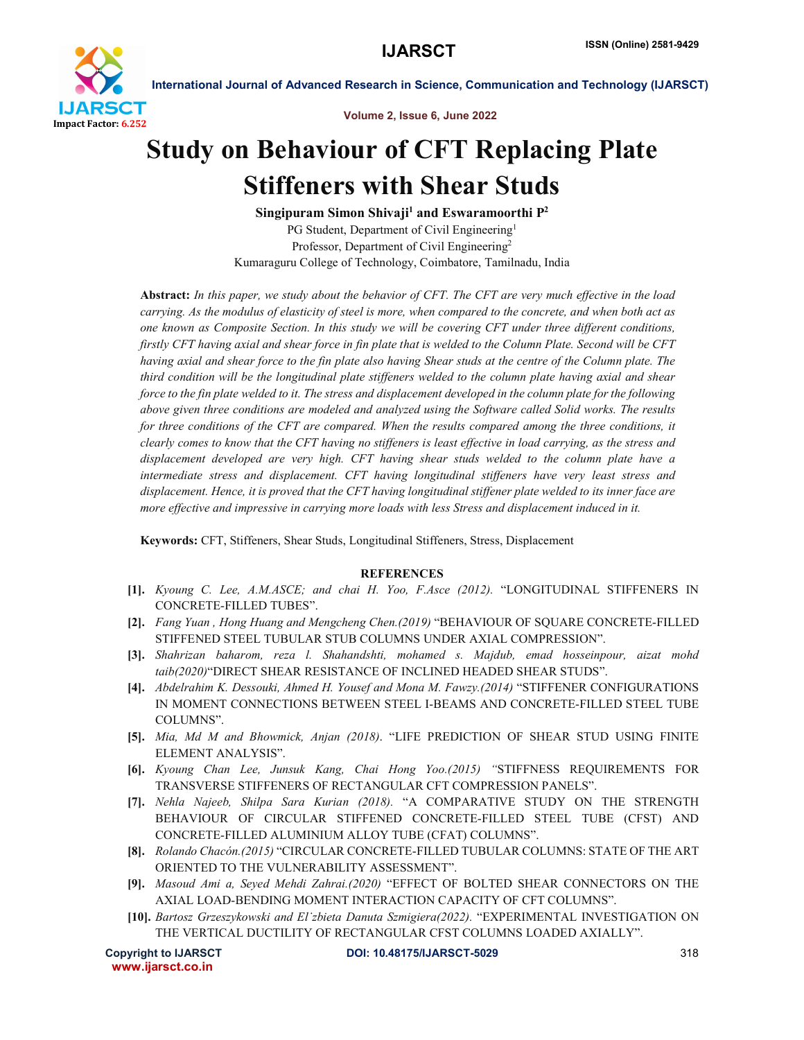

International Journal of Advanced Research in Science, Communication and Technology (IJARSCT)

Volume 2, Issue 6, June 2022

## Study on Behaviour of CFT Replacing Plate Stiffeners with Shear Studs

Singipuram Simon Shivaji<sup>1</sup> and Eswaramoorthi  $P^2$ PG Student, Department of Civil Engineering<sup>1</sup> Professor, Department of Civil Engineering2 Kumaraguru College of Technology, Coimbatore, Tamilnadu, India

Abstract: *In this paper, we study about the behavior of CFT. The CFT are very much effective in the load carrying. As the modulus of elasticity of steel is more, when compared to the concrete, and when both act as one known as Composite Section. In this study we will be covering CFT under three different conditions, firstly CFT having axial and shear force in fin plate that is welded to the Column Plate. Second will be CFT having axial and shear force to the fin plate also having Shear studs at the centre of the Column plate. The third condition will be the longitudinal plate stiffeners welded to the column plate having axial and shear force to the fin plate welded to it. The stress and displacement developed in the column plate for the following above given three conditions are modeled and analyzed using the Software called Solid works. The results*  for three conditions of the CFT are compared. When the results compared among the three conditions, it *clearly comes to know that the CFT having no stiffeners is least effective in load carrying, as the stress and displacement developed are very high. CFT having shear studs welded to the column plate have a intermediate stress and displacement. CFT having longitudinal stiffeners have very least stress and displacement. Hence, it is proved that the CFT having longitudinal stiffener plate welded to its inner face are more effective and impressive in carrying more loads with less Stress and displacement induced in it.*

Keywords: CFT, Stiffeners, Shear Studs, Longitudinal Stiffeners, Stress, Displacement

## REFERENCES

- [1]. *Kyoung C. Lee, A.M.ASCE; and chai H. Yoo, F.Asce (2012).* "LONGITUDINAL STIFFENERS IN CONCRETE-FILLED TUBES".
- [2]. *Fang Yuan , Hong Huang and Mengcheng Chen.(2019)* "BEHAVIOUR OF SQUARE CONCRETE-FILLED STIFFENED STEEL TUBULAR STUB COLUMNS UNDER AXIAL COMPRESSION".
- [3]. *Shahrizan baharom, reza l. Shahandshti, mohamed s. Majdub, emad hosseinpour, aizat mohd taib(2020)*"DIRECT SHEAR RESISTANCE OF INCLINED HEADED SHEAR STUDS".
- [4]. *Abdelrahim K. Dessouki, Ahmed H. Yousef and Mona M. Fawzy.(2014)* "STIFFENER CONFIGURATIONS IN MOMENT CONNECTIONS BETWEEN STEEL I-BEAMS AND CONCRETE-FILLED STEEL TUBE COLUMNS".
- [5]. *Mia, Md M and Bhowmick, Anjan (2018)*. "LIFE PREDICTION OF SHEAR STUD USING FINITE ELEMENT ANALYSIS".
- [6]. *Kyoung Chan Lee, Junsuk Kang, Chai Hong Yoo.(2015) "*STIFFNESS REQUIREMENTS FOR TRANSVERSE STIFFENERS OF RECTANGULAR CFT COMPRESSION PANELS".
- [7]. *Nehla Najeeb, Shilpa Sara Kurian (2018).* "A COMPARATIVE STUDY ON THE STRENGTH BEHAVIOUR OF CIRCULAR STIFFENED CONCRETE-FILLED STEEL TUBE (CFST) AND CONCRETE-FILLED ALUMINIUM ALLOY TUBE (CFAT) COLUMNS".
- [8]. *Rolando Chacón.(2015)* "CIRCULAR CONCRETE-FILLED TUBULAR COLUMNS: STATE OF THE ART ORIENTED TO THE VULNERABILITY ASSESSMENT".
- [9]. *Masoud Ami a, Seyed Mehdi Zahrai.(2020)* "EFFECT OF BOLTED SHEAR CONNECTORS ON THE AXIAL LOAD-BENDING MOMENT INTERACTION CAPACITY OF CFT COLUMNS".
- [10]. *Bartosz Grzeszykowski and El˙zbieta Danuta Szmigiera(2022).* "EXPERIMENTAL INVESTIGATION ON THE VERTICAL DUCTILITY OF RECTANGULAR CFST COLUMNS LOADED AXIALLY".

www.ijarsct.co.in